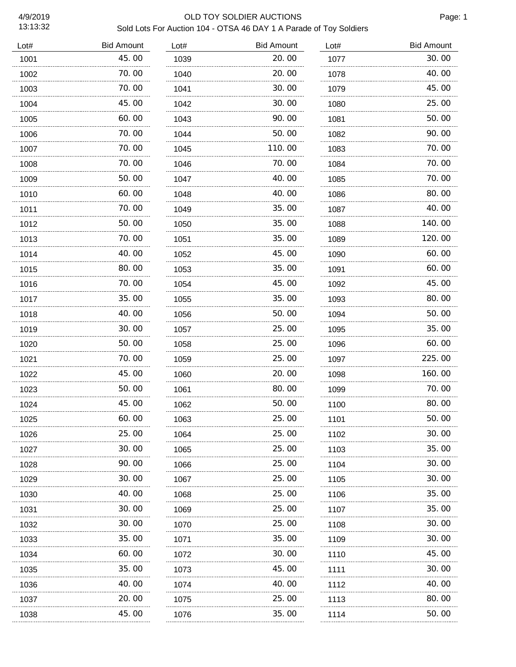13:13:32

# 4/9/2019 OLD TOY SOLDIER AUCTIONS Sold Lots For Auction 104 - OTSA 46 DAY 1 A Parade of Toy Soldiers

| Lot# | <b>Bid Amount</b> | Lot# | <b>Bid Amount</b> | Lot# | <b>Bid Amount</b> |
|------|-------------------|------|-------------------|------|-------------------|
| 1001 | 45.00             | 1039 | 20.00             | 1077 | 30.00             |
| 1002 | 70.00             | 1040 | 20.00             | 1078 | 40.00             |
| 1003 | 70.00             | 1041 | 30.00             | 1079 | 45.00             |
| 1004 | 45.00             | 1042 | 30.00             | 1080 | 25.00             |
| 1005 | 60.00             | 1043 | 90.00             | 1081 | 50.00             |
| 1006 | 70.00             | 1044 | 50.00             | 1082 | 90.00             |
| 1007 | 70.00             | 1045 | 110.00            | 1083 | 70.00             |
| 1008 | 70.00             | 1046 | 70.00             | 1084 | 70.00             |
| 1009 | 50.00             | 1047 | 40.00             | 1085 | 70.00             |
| 1010 | 60.00             | 1048 | 40.00             | 1086 | 80.00             |
| 1011 | 70.00             | 1049 | 35.00             | 1087 | 40.00             |
| 1012 | 50.00             | 1050 | 35.00             | 1088 | 140.00            |
| 1013 | 70.00             | 1051 | 35.00             | 1089 | 120.00            |
| 1014 | 40.00             | 1052 | 45.00             | 1090 | 60.00             |
| 1015 | 80.00             | 1053 | 35.00             | 1091 | 60.00             |
| 1016 | 70.00             | 1054 | 45.00             | 1092 | 45.00             |
| 1017 | 35.00             | 1055 | 35.00             | 1093 | 80.00             |
| 1018 | 40.00             | 1056 | 50.00             | 1094 | 50.00             |
| 1019 | 30.00             | 1057 | 25.00             | 1095 | 35.00             |
| 1020 | 50.00             | 1058 | 25.00             | 1096 | 60.00             |
| 1021 | 70.00             | 1059 | 25.00             | 1097 | 225.00            |
| 1022 | 45.00             | 1060 | 20.00             | 1098 | 160.00            |
| 1023 | 50.00             | 1061 | 80.00             | 1099 | 70.00             |
| 1024 | 45.00             | 1062 | 50.00             | 1100 | 80.00             |
| 1025 | 60.00             | 1063 | 25.00             | 1101 | 50.00             |
| 1026 | 25.00             | 1064 | 25.00             | 1102 | 30. 00            |
| 1027 | 30.00             | 1065 | 25.00             | 1103 | 35.00             |
| 1028 | 90. OO            | 1066 | 25.00             | 1104 | 30. 00            |
| 1029 | 30. 00            | 1067 | 25.00             | 1105 | 30. 00            |
| 1030 | 40.00             | 1068 | 25.00             | 1106 | 35.00             |
| 1031 | 30. 00            | 1069 | 25.00             | 1107 | 35.00             |
| 1032 | 30. 00            | 1070 | 25.00             | 1108 | 30. OO            |
| 1033 | 35. 00            | 1071 | 35.00             | 1109 | 30. 00            |
| 1034 | 60.00             | 1072 | 30.00             | 1110 | 45. 00            |
| 1035 | 35.00             | 1073 | 45.00             | 1111 | 30. 00            |
| 1036 | 40. OO            | 1074 | 40.00             | 1112 | 40. 00            |
| 1037 | 20.00             | 1075 | 25.00             | 1113 | 80. 00            |
| 1038 | 45.00             | 1076 | 35.00             | 1114 | 50. 00            |
|      |                   |      |                   |      |                   |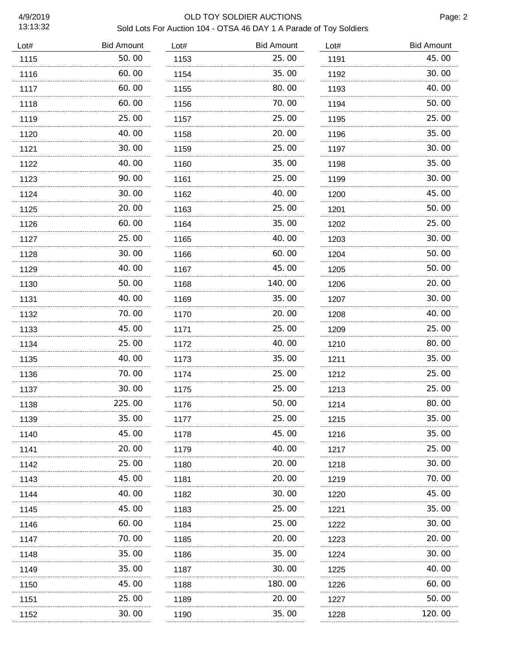13:13:32

# 4/9/2019 OLD TOY SOLDIER AUCTIONS Sold Lots For Auction 104 - OTSA 46 DAY 1 A Parade of Toy Soldiers

| <b>Bid Amount</b> | Lot# | <b>Bid Amount</b> | Lot# | <b>Bid Amount</b> |
|-------------------|------|-------------------|------|-------------------|
| 50.00             | 1153 | 25.00             | 1191 | 45.00             |
| 60.00             | 1154 | 35. OO            | 1192 | 30.00             |
| 60.00             | 1155 | 80.00             | 1193 | 40.00             |
| 60.00             | 1156 | 70.00             | 1194 | 50.00             |
| 25.00             | 1157 | 25.00             | 1195 | 25.00             |
| 40.00             | 1158 | 20.00             | 1196 | 35.00             |
| 30.00             | 1159 | 25.00             | 1197 | 30.00             |
| 40.00             | 1160 | 35.00             | 1198 | 35.00             |
| 90.00             | 1161 | 25.00             | 1199 | 30.00             |
| 30.00             | 1162 | 40. 00            | 1200 | 45.00             |
| 20.00             | 1163 | 25.00             | 1201 | 50.00             |
| 60.00             | 1164 | 35.00             | 1202 | 25.00             |
| 25.00             | 1165 | 40.00             | 1203 | 30.00             |
| 30.00             | 1166 | 60. 00            | 1204 | 50.00             |
| 40.00             | 1167 | 45.00             | 1205 | 50.00             |
| 50.00             | 1168 | 140.00            | 1206 | 20.00             |
| 40.00             | 1169 | 35.00             | 1207 | 30.00             |
| 70.00             | 1170 | 20.00             | 1208 | 40.00             |
| 45.00             | 1171 | 25.00             | 1209 | 25.00             |
| 25.00             | 1172 | 40.00             | 1210 | 80.00             |
| 40.00             | 1173 | 35.00             | 1211 | 35.00             |
| 70.00             | 1174 | 25.00             | 1212 | 25.00             |
| 30.00             | 1175 | 25.00             | 1213 | 25.00             |
| 225.00            | 1176 | 50.00             | 1214 | 80.00             |
| 35.00             | 1177 | 25.00             | 1215 | 35.00             |
| 45.00             | 1178 | 45.00             | 1216 | 35.00             |
| 20.00             | 1179 | 40.00             | 1217 | 25.00             |
| 25.00             | 1180 | 20. 00            | 1218 | 30.00             |
| 45.00             | 1181 | 20.00             | 1219 | 70.00             |
| 40.00             | 1182 | 30.00             | 1220 | 45.00             |
| 45.00             | 1183 | 25.00             | 1221 | 35.00             |
| 60.00             | 1184 | 25.00             | 1222 | 30.00             |
| 70.00             | 1185 | 20.00             | 1223 | 20.00             |
| 35.00             | 1186 | 35.00             | 1224 | 30.00             |
| 35.00             | 1187 | 30.00             | 1225 | 40.00             |
| 45.00             | 1188 | 180. 00           | 1226 | 60.00             |
| 25. 00            | 1189 | 20. 00            | 1227 | 50.00             |
| 30.00             | 1190 | 35.00             | 1228 | 120.00            |
|                   | .    |                   |      |                   |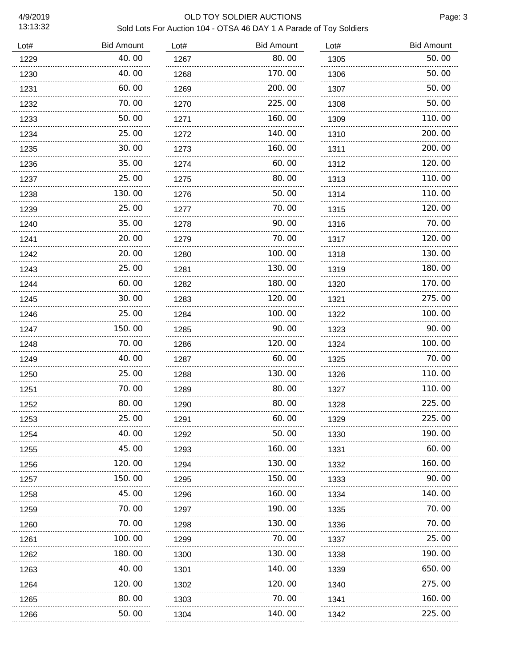13:13:32

# 4/9/2019 OLD TOY SOLDIER AUCTIONS Sold Lots For Auction 104 - OTSA 46 DAY 1 A Parade of Toy Soldiers

| Lot# | <b>Bid Amount</b> | Lot# | <b>Bid Amount</b> | Lot# | <b>Bid Amount</b> |
|------|-------------------|------|-------------------|------|-------------------|
| 1229 | 40.00             | 1267 | 80.00             | 1305 | 50.00             |
| 1230 | 40.00             | 1268 | 170. 00           | 1306 | 50.00             |
| 1231 | 60.00             | 1269 | 200.00            | 1307 | 50.00             |
| 1232 | 70. 00            | 1270 | 225.00            | 1308 | 50.00             |
| 1233 | 50.00             | 1271 | 160.00            | 1309 | 110.00            |
| 1234 | 25.00             | 1272 | 140.00            | 1310 | 200.00            |
| 1235 | 30.00             | 1273 | 160. 00           | 1311 | 200.00            |
| 1236 | 35.00             | 1274 | 60. 00            | 1312 | 120.00            |
| 1237 | 25.00             | 1275 | 80.00             | 1313 | 110. 00           |
| 1238 | 130. 00           | 1276 | 50. 00            | 1314 | 110. 00           |
| 1239 | 25.00             | 1277 | 70. 00            | 1315 | 120. 00           |
| 1240 | 35.00             | 1278 | 90. 00            | 1316 | 70.00             |
| 1241 | 20.00             | 1279 | 70. 00            | 1317 | 120.00            |
| 1242 | 20.00             | 1280 | 100.00            | 1318 | 130.00            |
| 1243 | 25.00             | 1281 | 130. 00           | 1319 | 180.00            |
| 1244 | 60.00             | 1282 | 180. 00           | 1320 | 170.00            |
| 1245 | 30.00             | 1283 | 120. 00           | 1321 | 275.00            |
| 1246 | 25.00             | 1284 | 100. 00           | 1322 | 100.00            |
| 1247 | 150. 00           | 1285 | 90. OO            | 1323 | 90.00             |
| 1248 | 70.00             | 1286 | 120. 00           | 1324 | 100.00            |
| 1249 | 40.00             | 1287 | 60.00             | 1325 | 70.00             |
| 1250 | 25.00             | 1288 | 130.00            | 1326 | 110.00            |
| 1251 | 70.00             | 1289 | 80.00             | 1327 | 110.00            |
| 1252 | 80.00             | 1290 | 80.00             | 1328 | 225.00            |
| 1253 | 25.00             | 1291 | 60.00             | 1329 | 225.00            |
| 1254 | 40.00             | 1292 | 50.00             | 1330 | 190.00            |
| 1255 | 45.00             | 1293 | 160.00            | 1331 | 60.00             |
| 1256 | 120.00            | 1294 | 130.00            | 1332 | 160.00            |
| 1257 | 150.00            | 1295 | 150.00            | 1333 | 90.00             |
| 1258 | 45.00             | 1296 | 160.00            | 1334 | 140.00            |
| 1259 | 70.00             | 1297 | 190.00            | 1335 | 70.00             |
| 1260 | 70.00             | 1298 | 130.00            | 1336 | 70.00             |
| 1261 | 100.00            | 1299 | 70.00             | 1337 | 25.00             |
| 1262 | 180.00            | 1300 | 130.00            | 1338 | 190.00            |
| 1263 | 40.00             | 1301 | 140.00            | 1339 | 650.00            |
| 1264 | 120. 00           | 1302 | 120. 00           | 1340 | 275.00            |
| 1265 | 80.00             | 1303 | 70.00             | 1341 | 160.00            |
| 1266 | 50. 00            | 1304 | 140. 00           | 1342 | 225.00            |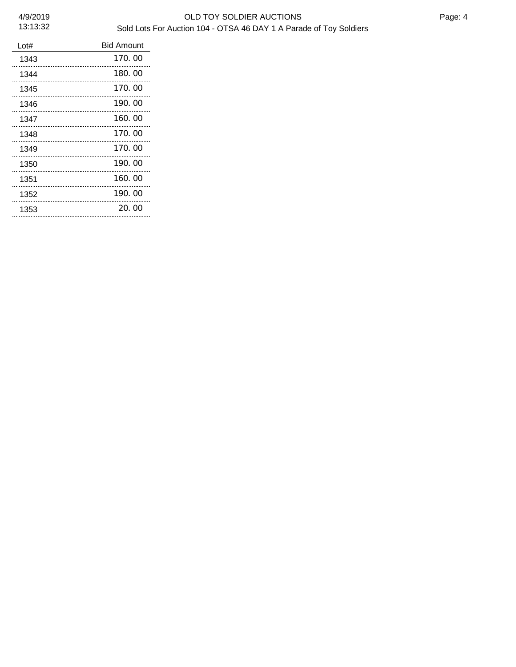### 4/9/2019 OLD TOY SOLDIER AUCTIONS Sold Lots For Auction 104 - OTSA 46 DAY 1 A Parade of Toy Soldiers

| Lot# | <b>Bid Amount</b> |
|------|-------------------|
| 1343 | 170.00            |
| 1344 | 180.00            |
| 1345 | 170.00            |
| 1346 | 190.00            |
| 1347 | 160.00            |
| 1348 | 170.00            |
| 1349 | 170.00            |
| 1350 | 190.00            |
| 1351 | 160.00            |
| 1352 | 190.00            |
| 1353 | 20.00             |
|      |                   |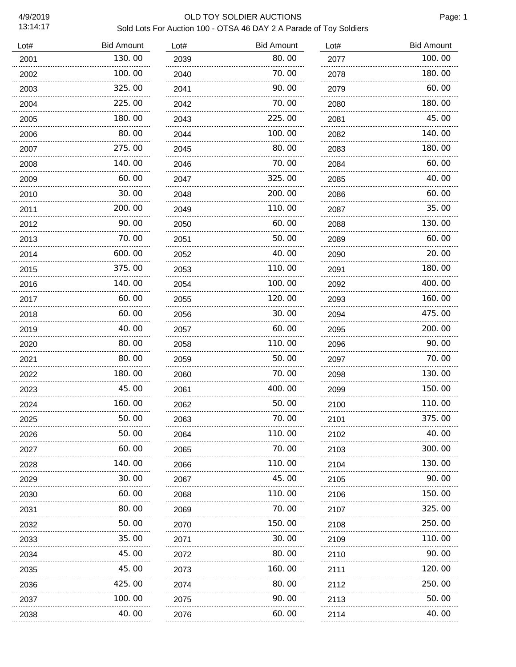# 4/9/2019 OLD TOY SOLDIER AUCTIONS Sold Lots For Auction 100 - OTSA 46 DAY 2 A Parade of Toy Soldiers

| Lot# | <b>Bid Amount</b> | Lot# | <b>Bid Amount</b> | Lot# | <b>Bid Amount</b> |
|------|-------------------|------|-------------------|------|-------------------|
| 2001 | 130.00            | 2039 | 80.00             | 2077 | 100.00            |
| 2002 | 100.00            | 2040 | 70.00             | 2078 | 180.00            |
| 2003 | 325.00            | 2041 | 90.00             | 2079 | 60.00             |
| 2004 | 225.00            | 2042 | 70.00             | 2080 | 180.00            |
| 2005 | 180.00<br>.       | 2043 | 225.00            | 2081 | 45.00             |
| 2006 | 80.00             | 2044 | 100.00            | 2082 | 140.00            |
| 2007 | 275.00            | 2045 | 80.00             | 2083 | 180.00            |
| 2008 | 140. 00           | 2046 | 70.00             | 2084 | 60.00             |
| 2009 | 60.00             | 2047 | 325.00            | 2085 | 40.00             |
| 2010 | 30.00             | 2048 | 200.00            | 2086 | 60.00             |
| 2011 | 200.00            | 2049 | 110.00            | 2087 | 35.00             |
| 2012 | 90.00             | 2050 | 60.00             | 2088 | 130.00            |
| 2013 | 70.00             | 2051 | 50.00             | 2089 | 60.00             |
| 2014 | 600.00            | 2052 | 40.00             | 2090 | 20.00             |
| 2015 | 375.00            | 2053 | 110.00            | 2091 | 180.00            |
| 2016 | 140.00            | 2054 | 100.00            | 2092 | 400.00            |
| 2017 | 60.00             | 2055 | 120.00            | 2093 | 160.00            |
| 2018 | 60.00             | 2056 | 30.00             | 2094 | 475.00            |
| 2019 | 40.00             | 2057 | 60.00             | 2095 | 200.00            |
| 2020 | 80.00             | 2058 | 110.00            | 2096 | 90.00             |
| 2021 | 80.00             | 2059 | 50.00             | 2097 | 70.00             |
| 2022 | 180.00            | 2060 | 70. 00            | 2098 | 130.00            |
| 2023 | 45.00             | 2061 | 400.00            | 2099 | 150.00            |
| 2024 | 160.00            | 2062 | 50.00             | 2100 | 110.00            |
| 2025 | 50.00             | 2063 | 70. 00            | 2101 | 375.00            |
| 2026 | 50.00             | 2064 | 110. 00           | 2102 | 40.00             |
| 2027 | 60. 00            | 2065 | 70.00             | 2103 | 300.00            |
| 2028 | 140. 00           | 2066 | 110. 00           | 2104 | 130.00            |
| 2029 | 30. 00            | 2067 | 45.00             | 2105 | 90.00             |
| 2030 | 60. 00            | 2068 | 110. 00           | 2106 | 150.00            |
| 2031 | 80.00             | 2069 | 70.00             | 2107 | 325.00            |
| 2032 | 50.00             | 2070 | 150.00            | 2108 | 250.00            |
| 2033 | 35.00             | 2071 | 30.00             | 2109 | 110.00            |
| 2034 | 45.00             | 2072 | 80.00             | 2110 | 90.00             |
| 2035 | 45. OO            | 2073 | 160.00            | 2111 | 120.00            |
| 2036 | 425.00            | 2074 | 80.00             | 2112 | 250.00            |
| 2037 | 100. 00           | 2075 | 90. OO            | 2113 | 50.00             |
| 2038 | .<br>40.00        | 2076 | 60.00             | 2114 | 40.00             |
|      |                   |      |                   |      |                   |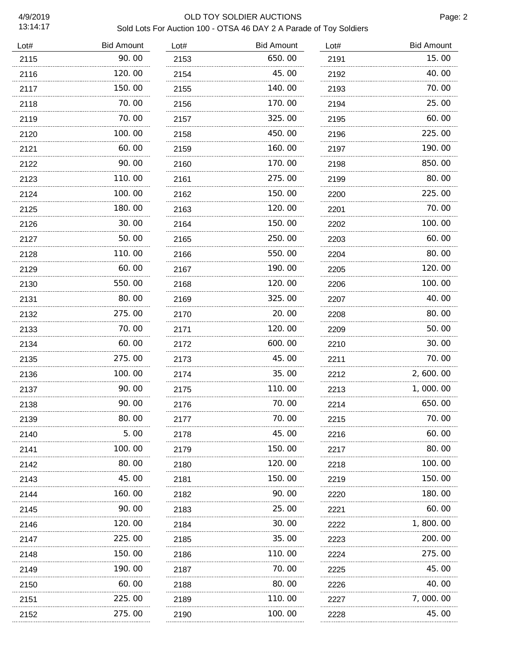### 4/9/2019 OLD TOY SOLDIER AUCTIONS Sold Lots For Auction 100 - OTSA 46 DAY 2 A Parade of Toy Soldiers

| Lot# | <b>Bid Amount</b> | Lot#      | <b>Bid Amount</b> | Lot#      | <b>Bid Amount</b> |
|------|-------------------|-----------|-------------------|-----------|-------------------|
| 2115 | 90.00             | 2153      | 650.00            | 2191      | 15.00             |
| 2116 | 120.00            | 2154      | 45.00             | 2192      | 40.00             |
| 2117 | 150.00<br>.       | 2155      | 140.00            | 2193      | 70.00             |
| 2118 | 70.00             | 2156      | 170.00            | 2194      | 25.00             |
| 2119 | 70.00             | 2157      | 325.00            | 2195      | 60.00             |
| 2120 | 100.00            | 2158      | 450.00            | 2196      | 225.00            |
| 2121 | 60.00<br>.        | 2159      | 160.00            | 2197      | 190.00            |
| 2122 | 90.00             | 2160      | 170.00            | 2198      | 850.00            |
| 2123 | 110.00            | 2161      | 275.00            | 2199      | 80.00             |
| 2124 | 100.00            | 2162      | 150.00            | 2200      | 225.00            |
| 2125 | 180.00            | 2163      | 120.00            | 2201      | 70.00             |
| 2126 | 30.00             | 2164      | 150.00            | 2202      | 100.00            |
| 2127 | 50.00             | 2165      | 250.00            | 2203      | 60.00             |
| 2128 | 110.00            | 2166      | 550.00            | 2204      | 80.00             |
| 2129 | 60.00             | 2167      | 190.00            | 2205      | 120.00            |
| 2130 | 550.00            | 2168      | 120.00            | 2206      | 100.00            |
| 2131 | 80.00             | 2169      | 325.00            | 2207      | 40.00             |
| 2132 | 275.00            | 2170      | 20.00             | 2208      | 80.00             |
| 2133 | 70.00             | 2171<br>. | 120.00            | 2209<br>. | 50.00             |
| 2134 | 60.00             | 2172      | 600.00            | 2210      | 30.00             |
| 2135 | 275.00            | 2173      | 45.00             | 2211      | 70.00             |
| 2136 | 100.00            | 2174      | 35.00             | 2212      | 2,600.00          |
| 2137 | 90.00             | 2175      | 110.00            | 2213      | 1,000.00          |
| 2138 | 90.00             | 2176      | 70.00             | 2214      | 650.00            |
| 2139 | 80.00             | 2177      | 70.00             | 2215      | 70.00             |
| 2140 | 5.00              | 2178      | 45.00             | 2216      | 60.00             |
| 2141 | 100. 00           | 2179      | 150. 00           | 2217      | 80.00             |
| 2142 | 80.00             | 2180      | 120.00            | 2218      | 100. 00           |
| 2143 | 45.00             | 2181      | 150.00            | 2219      | 150. 00           |
| 2144 | 160. 00           | 2182      | 90.00             | 2220      | 180. 00           |
| 2145 | 90. 00            | 2183      | 25.00             | 2221      | 60.00             |
| 2146 | 120. 00           | 2184      | 30.00             | 2222      | 1,800.00          |
| 2147 | 225.00            | 2185      | 35.00             | 2223      | 200. 00           |
| 2148 | 150.00            | 2186      | 110.00            | 2224      | 275.00            |
| 2149 | 190.00            | 2187      | 70.00             | 2225      | 45.00             |
| 2150 | 60.00             | 2188      | 80.00             | 2226      | 40. 00            |
| 2151 | 225.00            | 2189      | 110.00            | 2227      | 7,000.00          |
| 2152 | 275.00            | 2190      | 100.00            | 2228      | 45.00             |
|      |                   |           |                   |           |                   |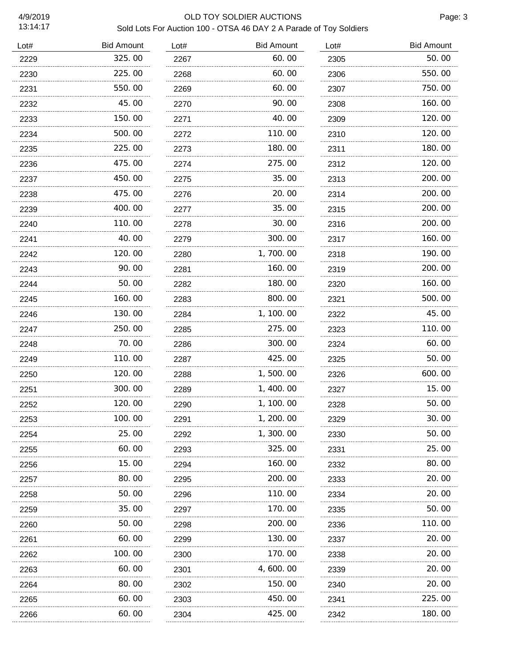### 4/9/2019 OLD TOY SOLDIER AUCTIONS Sold Lots For Auction 100 - OTSA 46 DAY 2 A Parade of Toy Soldiers

| Lot# | <b>Bid Amount</b> | Lot# | <b>Bid Amount</b> | Lot# | <b>Bid Amount</b> |
|------|-------------------|------|-------------------|------|-------------------|
| 2229 | 325.00            | 2267 | 60.00             | 2305 | 50.00             |
| 2230 | 225.00            | 2268 | 60.00             | 2306 | 550.00            |
| 2231 | 550.00            | 2269 | 60.00             | 2307 | 750.00            |
| 2232 | 45.00             | 2270 | 90.00             | 2308 | 160.00            |
| 2233 | 150.00            | 2271 | 40.00             | 2309 | 120.00            |
| 2234 | 500.00            | 2272 | 110.00            | 2310 | 120.00            |
| 2235 | 225.00            | 2273 | 180. 00           | 2311 | 180.00            |
| 2236 | 475.00            | 2274 | 275.00            | 2312 | 120.00            |
| 2237 | 450.00            | 2275 | 35.00             | 2313 | 200.00            |
| 2238 | 475.00            | 2276 | 20. 00            | 2314 | 200.00            |
| 2239 | 400.00            | 2277 | 35.00             | 2315 | 200.00            |
| 2240 | 110.00            | 2278 | 30.00             | 2316 | 200.00            |
| 2241 | 40.00             | 2279 | 300.00            | 2317 | 160.00            |
| 2242 | 120.00            | 2280 | 1, 700. 00        | 2318 | 190.00            |
| 2243 | 90. 00            | 2281 | 160.00            | 2319 | 200.00            |
| 2244 | 50. 00            | 2282 | 180.00            | 2320 | 160.00            |
| 2245 | 160. 00           | 2283 | 800.00            | 2321 | 500.00            |
| 2246 | 130.00            | 2284 | 1, 100. 00        | 2322 | 45.00             |
| 2247 | 250.00            | 2285 | 275.00            | 2323 | 110.00            |
| 2248 | 70.00             | 2286 | 300.00            | 2324 | 60.00             |
| 2249 | 110.00            | 2287 | 425.00            | 2325 | 50.00             |
| 2250 | 120.00            | 2288 | 1,500.00          | 2326 | 600.00            |
| 2251 | 300.00            | 2289 | 1, 400.00         | 2327 | 15.00             |
| 2252 | 120.00            | 2290 | 1, 100.00         | 2328 | 50.00             |
| 2253 | 100.00            | 2291 | 1, 200.00         | 2329 | 30.00             |
| 2254 | 25.00             | 2292 | 1, 300. 00        | 2330 | 50. 00            |
| 2255 | 60.00             | 2293 | 325.00            | 2331 | 25.00             |
| 2256 | 15.00             | 2294 | 160. 00           | 2332 | 80.00             |
| 2257 | 80.00             | 2295 | 200.00            | 2333 | 20.00             |
| 2258 | 50. 00            | 2296 | 110. 00           | 2334 | 20.00             |
| 2259 | 35.00             | 2297 | 170.00            | 2335 | 50.00             |
| 2260 | 50.00             | 2298 | 200.00            | 2336 | 110.00            |
| 2261 | 60.00             | 2299 | 130.00            | 2337 | 20.00             |
| 2262 | 100. 00           | 2300 | 170.00            | 2338 | 20.00             |
| 2263 | 60.00             | 2301 | 4, 600. 00        | 2339 | 20.00             |
| 2264 | 80.00             | 2302 | 150.00            | 2340 | 20.00             |
| 2265 | 60.00             | 2303 | 450.00            | 2341 | 225.00            |
| 2266 | 60.00             | 2304 | 425.00            | 2342 | 180.00            |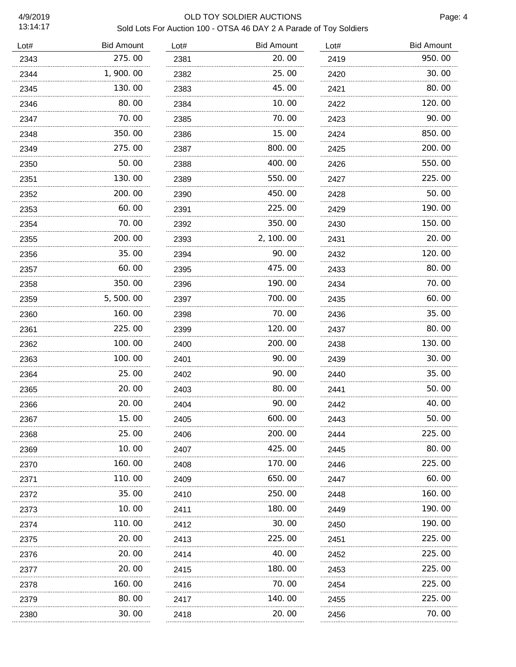# 4/9/2019 OLD TOY SOLDIER AUCTIONS Sold Lots For Auction 100 - OTSA 46 DAY 2 A Parade of Toy Soldiers

| Lot# | <b>Bid Amount</b> | Lot# | <b>Bid Amount</b> | Lot# | <b>Bid Amount</b> |
|------|-------------------|------|-------------------|------|-------------------|
| 2343 | 275.00            | 2381 | 20.00             | 2419 | 950.00            |
| 2344 | 1,900.00          | 2382 | 25.00             | 2420 | 30.00             |
| 2345 | 130.00            | 2383 | 45.00             | 2421 | 80.00             |
| 2346 | 80.00             | 2384 | 10.00             | 2422 | 120.00            |
| 2347 | 70.00             | 2385 | 70.00             | 2423 | 90.00             |
| 2348 | 350.00            | 2386 | 15.00             | 2424 | 850.00            |
| 2349 | 275.00            | 2387 | 800.00            | 2425 | 200.00            |
| 2350 | 50. 00            | 2388 | 400.00            | 2426 | 550.00            |
| 2351 | 130.00            | 2389 | 550.00            | 2427 | 225.00            |
| 2352 | 200.00            | 2390 | 450.00            | 2428 | 50.00             |
| 2353 | 60.00             | 2391 | 225.00            | 2429 | 190.00            |
| 2354 | 70.00             | 2392 | 350.00            | 2430 | 150.00            |
| 2355 | 200.00            | 2393 | 2, 100. 00        | 2431 | 20.00             |
| 2356 | 35.00             | 2394 | 90.00             | 2432 | 120.00            |
| 2357 | 60.00             | 2395 | 475.00            | 2433 | 80.00             |
| 2358 | 350.00            | 2396 | 190.00            | 2434 | 70.00             |
| 2359 | 5, 500. 00        | 2397 | 700.00            | 2435 | 60.00             |
| 2360 | 160.00            | 2398 | 70. 00            | 2436 | 35.00             |
| 2361 | 225.00            | 2399 | 120. 00           | 2437 | 80.00             |
| 2362 | 100.00            | 2400 | 200.00            | 2438 | 130.00            |
| 2363 | 100.00            | 2401 | 90.00             | 2439 | 30.00             |
| 2364 | 25.00             | 2402 | 90.00             | 2440 | 35.00             |
| 2365 | 20.00             | 2403 | 80.00             | 2441 | 50.00             |
| 2366 | 20.00             | 2404 | 90.00             | 2442 | 40.00             |
| 2367 | 15.00             | 2405 | 600.00            | 2443 | 50.00             |
| 2368 | 25.00             | 2406 | 200. 00           | 2444 | 225,00            |
| 2369 | 10.00             | 2407 | 425.00            | 2445 | 80.00             |
| 2370 | 160.00            | 2408 | 170.00            | 2446 | 225.00            |
| 2371 | .<br>110.00       | 2409 | 650.00            | 2447 | 60.00             |
| 2372 | 35.00             | 2410 | 250.00            | 2448 | 160.00            |
| 2373 | 10.00             | 2411 | 180.00            | 2449 | 190.00            |
| 2374 | 110.00            | 2412 | 30.00             | 2450 | 190.00            |
| 2375 | 20.00             | 2413 | 225.00            | 2451 | 225.00            |
| 2376 | 20. 00            | 2414 | 40.00             | 2452 | 225.00            |
| 2377 | 20.00             | 2415 | 180.00            | 2453 | 225.00            |
| 2378 | 160.00            | 2416 | 70.00             | 2454 | 225.00            |
| 2379 | 80.00             | 2417 | 140.00            | 2455 | 225.00            |
| 2380 | 30.00             | 2418 | 20.00             | 2456 | 70.00             |
|      |                   |      |                   |      |                   |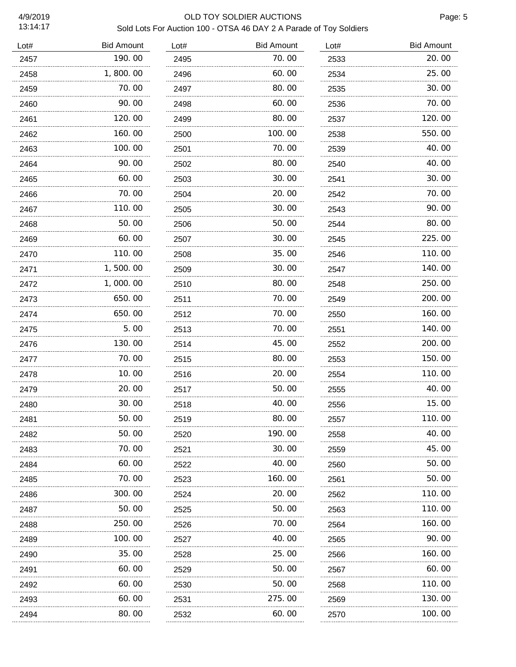### 4/9/2019 OLD TOY SOLDIER AUCTIONS Sold Lots For Auction 100 - OTSA 46 DAY 2 A Parade of Toy Soldiers

| Lot# | <b>Bid Amount</b> | Lot# | <b>Bid Amount</b> | Lot# | <b>Bid Amount</b> |
|------|-------------------|------|-------------------|------|-------------------|
| 2457 | 190.00            | 2495 | 70.00             | 2533 | 20.00             |
| 2458 | 1,800.00          | 2496 | 60.00             | 2534 | 25.00             |
| 2459 | 70.00             | 2497 | 80.00             | 2535 | 30.00             |
| 2460 | 90.00             | 2498 | 60.00             | 2536 | 70.00             |
| 2461 | 120.00            | 2499 | 80.00             | 2537 | 120.00            |
| 2462 | 160.00            | 2500 | 100.00            | 2538 | 550.00            |
| 2463 | 100.00            | 2501 | 70.00             | 2539 | 40.00             |
| 2464 | 90.00             | 2502 | 80.00             | 2540 | 40.00             |
| 2465 | 60.00             | 2503 | 30.00             | 2541 | 30.00             |
| 2466 | 70.00             | 2504 | 20.00             | 2542 | 70.00             |
| 2467 | 110. 00           | 2505 | 30.00             | 2543 | 90.00             |
| 2468 | 50.00             | 2506 | 50.00             | 2544 | 80.00             |
| 2469 | 60.00             | 2507 | 30.00             | 2545 | 225.00            |
| 2470 | 110.00            | 2508 | 35.00             | 2546 | 110.00            |
| 2471 | 1,500.00          | 2509 | 30.00             | 2547 | 140.00            |
| 2472 | 1,000.00          | 2510 | 80.00             | 2548 | 250.00            |
| 2473 | 650.00            | 2511 | 70.00             | 2549 | 200.00            |
| 2474 | 650.00            | 2512 | 70. 00            | 2550 | 160.00            |
| 2475 | 5.00              | 2513 | 70. 00            | 2551 | 140.00            |
| 2476 | 130. 00           | 2514 | 45.00             | 2552 | 200.00            |
| 2477 | 70.00             | 2515 | 80.00             | 2553 | 150.00            |
| 2478 | 10.00             | 2516 | 20.00             | 2554 | 110.00            |
| 2479 | 20.00             | 2517 | 50.00             | 2555 | 40.00             |
| 2480 | 30.00             | 2518 | 40.00             | 2556 | 15.00             |
| 2481 | 50.00             | 2519 | 80.00             | 2557 | 110.00            |
| 2482 | 50.00             | 2520 | 190.00            | 2558 | 40.00             |
| 2483 | 70.00             | 2521 | 30.00             | 2559 | 45.00             |
| 2484 | 60.00<br>.        | 2522 | 40.00             | 2560 | 50.00             |
| 2485 | 70.00             | 2523 | 160. 00           | 2561 | 50.00             |
| 2486 | 300. 00           | 2524 | 20. 00            | 2562 | 110.00            |
| 2487 | 50.00             | 2525 | 50.00             | 2563 | 110.00            |
| 2488 | 250.00            | 2526 | 70.00             | 2564 | 160.00            |
| 2489 | 100.00            | 2527 | 40.00             | 2565 | 90.00             |
| 2490 | 35.00             | 2528 | 25.00             | 2566 | 160.00            |
| 2491 | 60.00             | 2529 | 50.00             | 2567 | 60.00             |
| 2492 | 60.00             | 2530 | 50.00             | 2568 | 110.00            |
| 2493 | 60.00             | 2531 | 275.00            | 2569 | 130.00            |
| 2494 | 80.00             | 2532 | 60.00             | 2570 | 100.00            |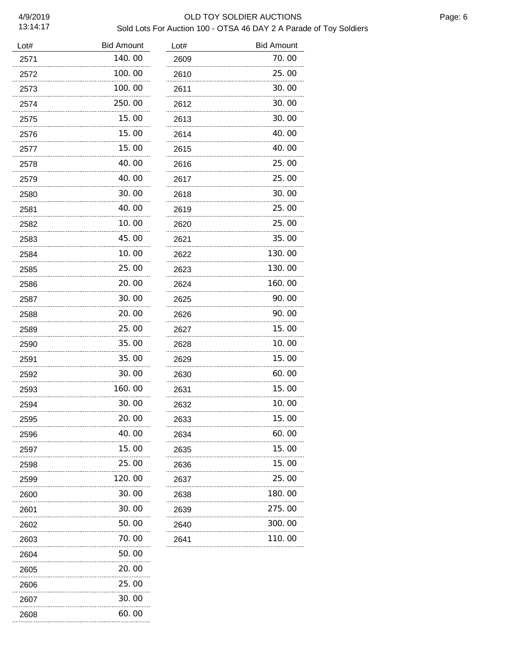#### 4/9/2019 OLD TOY SOLDIER AUCTIONS Sold Lots For Auction 100 - OTSA 46 DAY 2 A Parade of Toy Soldiers

| Lot# | <b>Bid Amount</b> | Lot# | <b>Bid Amount</b> |
|------|-------------------|------|-------------------|
| 2571 | 140.00            | 2609 | 70.00             |
| 2572 | 100.00            | 2610 | 25.00             |
| 2573 | 100.00            | 2611 | 30.00             |
| 2574 | 250.00            | 2612 | 30.00             |
| 2575 | 15.00             | 2613 | 30.00             |
| 2576 | 15.00             | 2614 | 40.00             |
| 2577 | 15.00             | 2615 | 40.00             |
| 2578 | 40.00             | 2616 | 25.00             |
| 2579 | 40.00             | 2617 | 25.00             |
| 2580 | 30.00             | 2618 | 30.00             |
| 2581 | 40.00             | 2619 | 25.00             |
| 2582 | 10.00             | 2620 | 25.00             |
| 2583 | 45.00             | 2621 | 35.00             |
| 2584 | 10. 00            | 2622 | 130.00            |
| 2585 | 25.00             | 2623 | 130.00            |
| 2586 | 20.00             | 2624 | 160.00            |
| 2587 | 30.00             | 2625 | 90.00             |
| 2588 | 20.00             | 2626 | 90.00             |
| 2589 | 25.00             | 2627 | 15.00             |
| 2590 | 35.00             | 2628 | 10.00             |
| 2591 | 35.00             | 2629 | 15.00             |
| 2592 | 30.00             | 2630 | 60.00             |
| 2593 | 160. 00           | 2631 | 15.00             |
| 2594 | 30.00             | 2632 | 10.00             |
| 2595 | 20. OO            | 2633 | 15. OO            |
| 2596 | 40.00             | 2634 | 60.00             |
| 2597 | 15. 00            | 2635 | 15.00             |
| 2598 | 25.00             | 2636 | 15.00             |
| 2599 | 120. 00           | 2637 | 25.00             |
| 2600 | 30.00             | 2638 | 180.00            |
| 2601 | 30.00             | 2639 | 275.00            |
| 2602 | 50. 00            | 2640 | 300.00            |
| 2603 | 70. 00            | 2641 | 110.00            |
| 2604 | 50.00             |      |                   |
| 2605 | 20.00             |      |                   |
| 2606 | 25.00             |      |                   |
| 2607 | 30.00             |      |                   |
| 2608 | 60.00             |      |                   |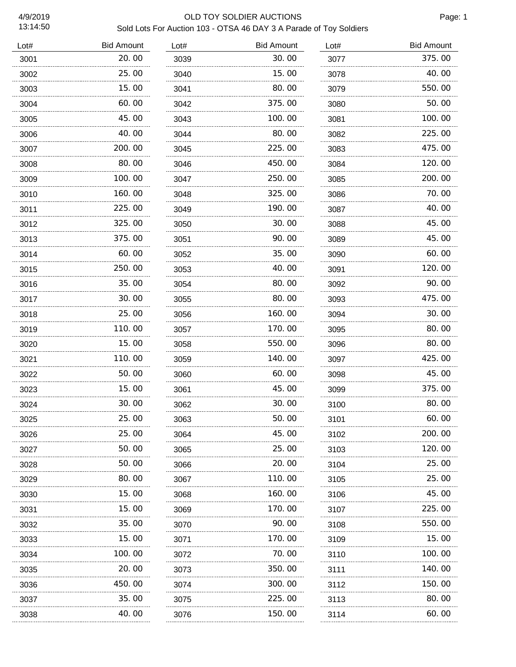### 4/9/2019 OLD TOY SOLDIER AUCTIONS Sold Lots For Auction 103 - OTSA 46 DAY 3 A Parade of Toy Soldiers

| Lot# | <b>Bid Amount</b> | Lot# | <b>Bid Amount</b> | Lot# | <b>Bid Amount</b> |
|------|-------------------|------|-------------------|------|-------------------|
| 3001 | 20.00             | 3039 | 30.00             | 3077 | 375.00            |
| 3002 | 25.00             | 3040 | 15.00             | 3078 | 40.00             |
| 3003 | 15.00             | 3041 | 80.00             | 3079 | 550.00            |
| 3004 | 60.00             | 3042 | 375.00            | 3080 | 50.00             |
| 3005 | 45.00             | 3043 | 100.00            | 3081 | 100.00            |
| 3006 | 40.00             | 3044 | 80.00             | 3082 | 225.00            |
| 3007 | 200.00            | 3045 | 225.00            | 3083 | 475.00            |
| 3008 | 80.00             | 3046 | 450.00            | 3084 | 120.00            |
| 3009 | 100.00            | 3047 | 250.00            | 3085 | 200.00            |
| 3010 | 160.00            | 3048 | 325.00            | 3086 | 70.00             |
| 3011 | 225.00            | 3049 | 190.00            | 3087 | 40.00             |
| 3012 | 325.00            | 3050 | 30.00             | 3088 | 45.00             |
| 3013 | 375.00            | 3051 | 90.00             | 3089 | 45.00             |
| 3014 | 60.00             | 3052 | 35.00             | 3090 | 60.00             |
| 3015 | 250.00            | 3053 | 40.00             | 3091 | 120.00            |
| 3016 | 35.00             | 3054 | 80.00             | 3092 | 90.00             |
| 3017 | 30.00             | 3055 | 80.00             | 3093 | 475.00            |
| 3018 | 25.00             | 3056 | 160.00            | 3094 | 30.00             |
| 3019 | 110.00            | 3057 | 170.00            | 3095 | 80.00             |
| 3020 | 15.00             | 3058 | 550.00            | 3096 | 80.00             |
| 3021 | 110.00            | 3059 | 140.00            | 3097 | 425.00            |
| 3022 | 50.00             | 3060 | 60.00             | 3098 | 45.00             |
| 3023 | 15.00             | 3061 | 45.00             | 3099 | 375.00            |
| 3024 | 30.00             | 3062 | 30.00             | 3100 | 80.00             |
| 3025 | 25.00             | 3063 | 50.00             | 3101 | 60.00             |
| 3026 | 25.00             | 3064 | 45.00             | 3102 | 200.00            |
| 3027 | 50.00             | 3065 | 25.00             | 3103 | 120.00            |
| 3028 | 50.00             | 3066 | 20.00             | 3104 | 25.00             |
| 3029 | 80.00<br>.        | 3067 | 110.00            | 3105 | 25.00             |
| 3030 | 15.00             | 3068 | 160.00            | 3106 | 45.00             |
| 3031 | 15.00             | 3069 | 170.00            | 3107 | 225.00            |
| 3032 | 35.00             | 3070 | 90.00             | 3108 | 550.00            |
| 3033 | 15.00             | 3071 | 170. 00           | 3109 | 15.00             |
| 3034 | .<br>100.00       | 3072 | 70.00             | 3110 | 100.00            |
| 3035 | 20.00             | 3073 | 350.00            | 3111 | 140. 00           |
| 3036 | 450. 00           | 3074 | 300. 00           | 3112 | 150. 00           |
| 3037 | 35.00             | 3075 | 225.00            | 3113 | 80.00             |
| 3038 | .<br>40. OO       | 3076 | 150.00            | 3114 | 60.00             |
|      |                   |      |                   |      |                   |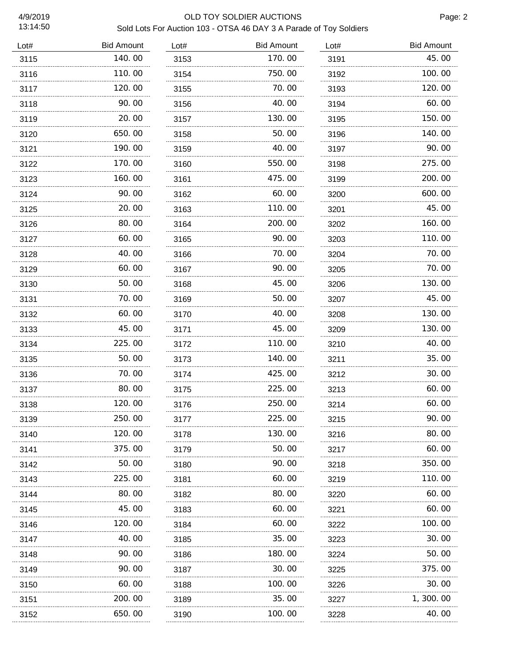### 4/9/2019 OLD TOY SOLDIER AUCTIONS Sold Lots For Auction 103 - OTSA 46 DAY 3 A Parade of Toy Soldiers

| Lot# | <b>Bid Amount</b> | Lot# | <b>Bid Amount</b> | Lot# | <b>Bid Amount</b> |
|------|-------------------|------|-------------------|------|-------------------|
| 3115 | 140.00            | 3153 | 170.00            | 3191 | 45.00             |
| 3116 | 110.00            | 3154 | 750.00            | 3192 | 100.00            |
| 3117 | 120.00<br>.       | 3155 | 70.00             | 3193 | 120.00            |
| 3118 | 90.00             | 3156 | 40.00             | 3194 | 60.00             |
| 3119 | 20.00<br>.        | 3157 | 130.00            | 3195 | 150.00            |
| 3120 | 650.00            | 3158 | 50.00             | 3196 | 140.00            |
| 3121 | 190.00            | 3159 | 40.00             | 3197 | 90.00             |
| 3122 | 170.00            | 3160 | 550.00            | 3198 | 275.00            |
| 3123 | 160.00            | 3161 | 475.00            | 3199 | 200.00            |
| 3124 | 90.00             | 3162 | 60.00             | 3200 | 600.00            |
| 3125 | 20.00             | 3163 | 110.00            | 3201 | 45.00             |
| 3126 | 80.00             | 3164 | 200.00            | 3202 | 160.00            |
| 3127 | 60.00             | 3165 | 90.00             | 3203 | 110.00            |
| 3128 | 40.00             | 3166 | 70.00             | 3204 | 70.00             |
| 3129 | 60.00             | 3167 | 90.00             | 3205 | 70.00             |
| 3130 | 50.00             | 3168 | 45.00             | 3206 | 130.00            |
| 3131 | 70.00             | 3169 | 50.00             | 3207 | 45.00             |
| 3132 | 60.00             | 3170 | 40.00             | 3208 | 130.00            |
| 3133 | 45.00             | 3171 | 45.00             | 3209 | 130.00            |
| 3134 | 225.00            | 3172 | 110.00            | 3210 | 40.00             |
| 3135 | 50.00             | 3173 | 140.00            | 3211 | 35.00             |
| 3136 | 70.00             | 3174 | 425.00            | 3212 | 30.00             |
| 3137 | 80.00             | 3175 | 225.00            | 3213 | 60.00             |
| 3138 | 120.00            | 3176 | 250.00            | 3214 | 60.00             |
| 3139 | 250.00            | 3177 | 225.00            | 3215 | 90.00             |
| 3140 | 120.00            | 3178 | 130. 00           | 3216 | 80.00             |
| 3141 | 375.00            | 3179 | 50.00             | 3217 | 60.00             |
| 3142 | 50.00             | 3180 | 90.00             | 3218 | 350.00            |
| 3143 | 225.00            | 3181 | 60.00             | 3219 | 110.00            |
| 3144 | 80.00             | 3182 | 80.00             | 3220 | 60.00             |
| 3145 | 45.00             | 3183 | 60.00             | 3221 | 60.00             |
| 3146 | 120.00            | 3184 | 60.00             | 3222 | 100.00            |
| 3147 | 40. 00            | 3185 | 35.00             | 3223 | 30.00             |
| 3148 | 90. OO            | 3186 | 180. 00           | 3224 | 50.00             |
| 3149 | 90. 00            | 3187 | 30.00             | 3225 | 375.00            |
| 3150 | 60.00             | 3188 | 100. 00           | 3226 | 30.00             |
| 3151 | 200.00            | 3189 | 35.00             | 3227 | 1, 300. 00        |
| 3152 | 650.00            | 3190 | 100.00            | 3228 | 40.00             |
|      |                   |      |                   |      |                   |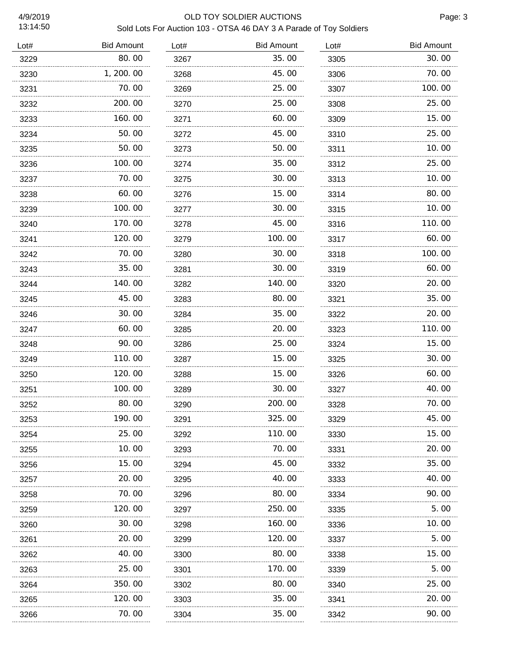### 4/9/2019 OLD TOY SOLDIER AUCTIONS Sold Lots For Auction 103 - OTSA 46 DAY 3 A Parade of Toy Soldiers

| Lot# | <b>Bid Amount</b> | Lot# | <b>Bid Amount</b> | Lot# | <b>Bid Amount</b> |
|------|-------------------|------|-------------------|------|-------------------|
| 3229 | 80.00             | 3267 | 35.00             | 3305 | 30.00             |
| 3230 | 1, 200. 00        | 3268 | 45.00             | 3306 | 70.00             |
| 3231 | 70.00             | 3269 | 25.00             | 3307 | 100.00            |
| 3232 | 200.00            | 3270 | 25.00             | 3308 | 25.00             |
| 3233 | 160.00            | 3271 | 60.00             | 3309 | 15.00             |
| 3234 | 50.00             | 3272 | 45.00             | 3310 | 25.00             |
| 3235 | 50.00             | 3273 | 50.00             | 3311 | 10.00             |
| 3236 | 100.00            | 3274 | 35.00             | 3312 | 25.00             |
| 3237 | 70.00             | 3275 | 30.00             | 3313 | 10.00             |
| 3238 | 60.00             | 3276 | 15.00             | 3314 | 80.00             |
| 3239 | 100.00            | 3277 | 30.00             | 3315 | 10.00             |
| 3240 | 170.00            | 3278 | 45.00             | 3316 | 110.00            |
| 3241 | 120.00            | 3279 | 100.00            | 3317 | 60.00             |
| 3242 | 70.00             | 3280 | 30.00             | 3318 | 100.00            |
| 3243 | 35.00             | 3281 | 30.00             | 3319 | 60.00             |
| 3244 | 140.00            | 3282 | 140.00            | 3320 | 20.00             |
| 3245 | 45.00             | 3283 | 80.00             | 3321 | 35.00             |
| 3246 | 30.00             | 3284 | 35.00             | 3322 | 20.00             |
| 3247 | 60.00             | 3285 | 20.00             | 3323 | 110.00            |
| 3248 | 90.00             | 3286 | 25.00             | 3324 | 15.00             |
| 3249 | 110.00            | 3287 | 15.00             | 3325 | 30.00             |
| 3250 | 120.00            | 3288 | 15. 00            | 3326 | 60.00             |
| 3251 | 100.00            | 3289 | 30.00             | 3327 | 40.00             |
| 3252 | 80.00             | 3290 | 200.00            | 3328 | 70.00             |
| 3253 | 190.00            | 3291 | 325.00            | 3329 | 45.00             |
| 3254 | 25.00             | 3292 | 110.00            | 3330 | 15.00             |
| 3255 | 10.00             | 3293 | 70.00             | 3331 | 20.00             |
| 3256 | 15.00<br>.        | 3294 | 45.00             | 3332 | 35.00             |
| 3257 | 20.00             | 3295 | 40.00             | 3333 | 40.00             |
| 3258 | 70.00<br>.        | 3296 | 80.00             | 3334 | 90.00             |
| 3259 | 120.00            | 3297 | 250.00            | 3335 | 5.00              |
| 3260 | 30.00             | 3298 | 160.00            | 3336 | 10.00             |
| 3261 | 20.00             | 3299 | 120.00            | 3337 | 5.00              |
| 3262 | 40.00             | 3300 | 80.00             | 3338 | 15.00             |
| 3263 | 25.00             | 3301 | 170.00            | 3339 | 5.00              |
| 3264 | 350.00            | 3302 | 80.00             | 3340 | 25.00             |
| 3265 | 120.00            | 3303 | 35.00             | 3341 | 20.00             |
| 3266 | 70.00             | 3304 | 35.00             | 3342 | 90.00             |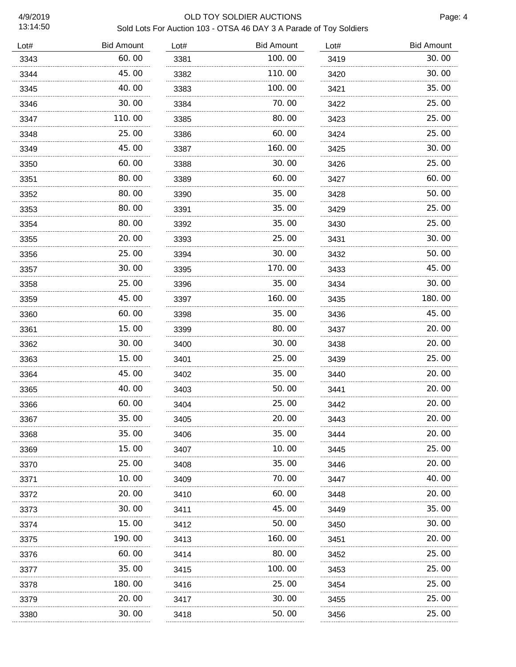### 4/9/2019 OLD TOY SOLDIER AUCTIONS Sold Lots For Auction 103 - OTSA 46 DAY 3 A Parade of Toy Soldiers

| Lot# | <b>Bid Amount</b> | Lot# | <b>Bid Amount</b> | Lot# | <b>Bid Amount</b> |
|------|-------------------|------|-------------------|------|-------------------|
| 3343 | 60.00             | 3381 | 100.00            | 3419 | 30.00             |
| 3344 | 45.00             | 3382 | 110.00            | 3420 | 30.00             |
| 3345 | 40.00             | 3383 | 100.00            | 3421 | 35.00             |
| 3346 | 30.00             | 3384 | 70. 00            | 3422 | 25.00             |
| 3347 | 110.00            | 3385 | 80.00             | 3423 | 25.00             |
| 3348 | 25.00             | 3386 | 60.00             | 3424 | 25.00             |
| 3349 | 45.00             | 3387 | 160.00            | 3425 | 30.00             |
| 3350 | 60.00             | 3388 | 30.00             | 3426 | 25.00             |
| 3351 | 80.00             | 3389 | 60.00             | 3427 | 60.00             |
| 3352 | 80.00             | 3390 | 35.00             | 3428 | 50.00             |
| 3353 | 80.00             | 3391 | 35.00             | 3429 | 25.00             |
| 3354 | 80.00             | 3392 | 35.00             | 3430 | 25.00             |
| 3355 | 20.00             | 3393 | 25.00             | 3431 | 30.00             |
| 3356 | 25.00             | 3394 | 30.00             | 3432 | 50.00             |
| 3357 | 30.00             | 3395 | 170. 00           | 3433 | 45.00             |
| 3358 | 25.00             | 3396 | 35.00             | 3434 | 30.00             |
| 3359 | 45.00             | 3397 | 160.00            | 3435 | 180.00            |
| 3360 | 60.00             | 3398 | 35.00             | 3436 | 45.00             |
| 3361 | 15.00             | 3399 | 80.00             | 3437 | 20.00             |
| 3362 | 30.00             | 3400 | 30.00             | 3438 | 20.00             |
| 3363 | 15.00             | 3401 | 25.00             | 3439 | 25.00             |
| 3364 | 45.00             | 3402 | 35.00             | 3440 | 20.00             |
| 3365 | 40.00             | 3403 | 50.00             | 3441 | 20.00             |
| 3366 | 60.00             | 3404 | 25.00             | 3442 | 20.00             |
| 3367 | 35.00             | 3405 | 20.00             | 3443 | 20.00             |
| 3368 | 35.00             | 3406 | 35.00             | 3444 | 20.00             |
| 3369 | 15.00             | 3407 | 10.00             | 3445 | 25.00             |
| 3370 | 25.00             | 3408 | 35.00             | 3446 | 20.00             |
| 3371 | 10.00             | 3409 | 70.00             | 3447 | 40.00             |
| 3372 | 20.00             | 3410 | 60.00             | 3448 | 20.00             |
| 3373 | 30.00             | 3411 | 45.00             | 3449 | 35.00             |
| 3374 | 15.00             | 3412 | 50.00             | 3450 | 30.00             |
| 3375 | 190.00            | 3413 | 160.00            | 3451 | 20.00             |
| 3376 | 60.00             | 3414 | 80.00             | 3452 | 25.00             |
| 3377 | 35.00             | 3415 | 100.00            | 3453 | 25.00             |
| 3378 | 180.00            | 3416 | 25.00             | 3454 | 25.00             |
| 3379 | 20.00             | 3417 | 30.00             | 3455 | 25.00             |
| 3380 | 30.00             | 3418 | 50.00             | 3456 | 25.00             |